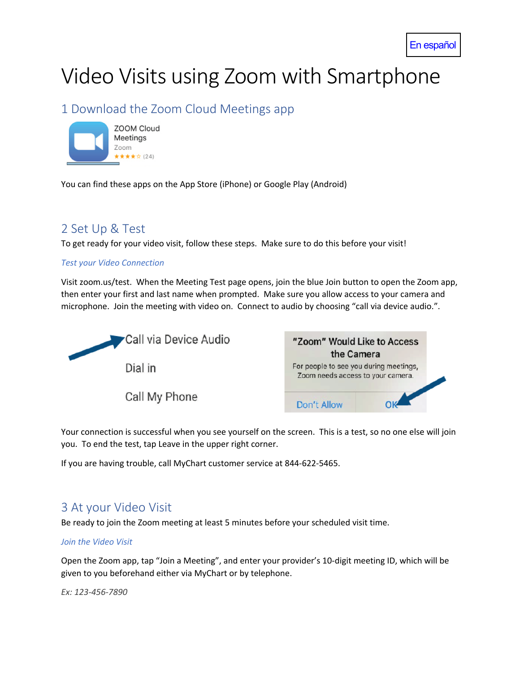# Video Visits using Zoom with Smartphone

## 1 Download the Zoom Cloud Meetings app



You can find these apps on the App Store (iPhone) or Google Play (Android)

## 2 Set Up & Test

To get ready for your video visit, follow these steps. Make sure to do this before your visit!

#### *Test your Video Connection*

Visit zoom.us/test. When the Meeting Test page opens, join the blue Join button to open the Zoom app, then enter your first and last name when prompted. Make sure you allow access to your camera and microphone. Join the meeting with video on. Connect to audio by choosing "call via device audio.".



Call My Phone



Your connection is successful when you see yourself on the screen. This is a test, so no one else will join you. To end the test, tap Leave in the upper right corner.

If you are having trouble, call MyChart customer service at 844-622-5465.

### 3 At your Video Visit

Be ready to join the Zoom meeting at least 5 minutes before your scheduled visit time.

#### *Join the Video Visit*

Open the Zoom app, tap "Join a Meeting", and enter your provider's 10-digit meeting ID, which will be given to you beforehand either via MyChart or by telephone.

*Ex: 123-456-7890*